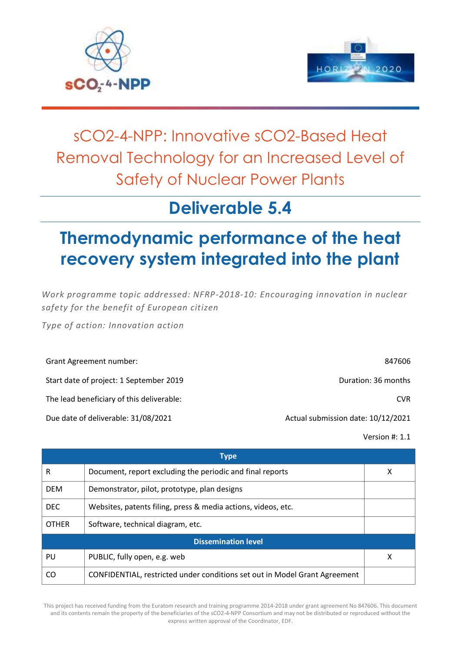



# sCO2-4-NPP: Innovative sCO2-Based Heat Removal Technology for an Increased Level of Safety of Nuclear Power Plants

## **Deliverable 5.4**

# **Thermodynamic performance of the heat recovery system integrated into the plant**

*Work programme topic addressed: NFRP-2018-10: Encouraging innovation in nuclear safety for the benefit of European citizen*

*Type of action: Innovation action*

| Grant Agreement number:                   | 847606                             |
|-------------------------------------------|------------------------------------|
| Start date of project: 1 September 2019   | Duration: 36 months                |
| The lead beneficiary of this deliverable: | CVR.                               |
| Due date of deliverable: 31/08/2021       | Actual submission date: 10/12/2021 |

Version #: 1.1

|              | <b>Type</b>                                                                |   |
|--------------|----------------------------------------------------------------------------|---|
| R            | Document, report excluding the periodic and final reports                  | X |
| <b>DEM</b>   | Demonstrator, pilot, prototype, plan designs                               |   |
| DEC.         | Websites, patents filing, press & media actions, videos, etc.              |   |
| <b>OTHER</b> | Software, technical diagram, etc.                                          |   |
|              | <b>Dissemination level</b>                                                 |   |
| PU           | PUBLIC, fully open, e.g. web                                               | X |
| CO           | CONFIDENTIAL, restricted under conditions set out in Model Grant Agreement |   |

This project has received funding from the Euratom research and training programme 2014-2018 under grant agreement No 847606. This document and its contents remain the property of the beneficiaries of the sCO2-4-NPP Consortium and may not be distributed or reproduced without the express written approval of the Coordinator, EDF.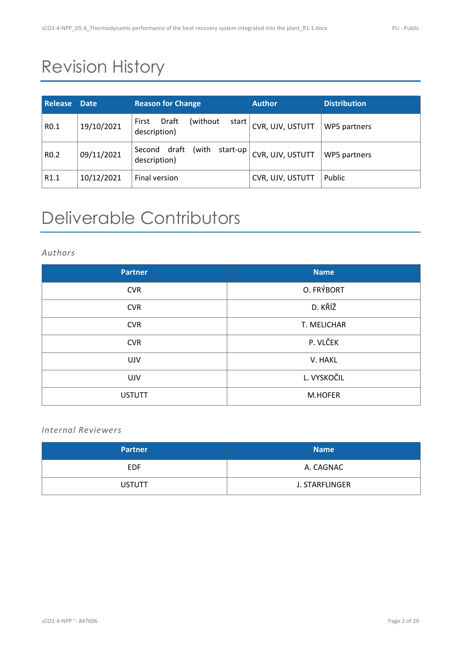# Revision History

| <b>Release</b>   | <b>Date</b> | <b>Reason for Change</b>                               | <b>Author</b>    | <b>Distribution</b> |
|------------------|-------------|--------------------------------------------------------|------------------|---------------------|
| R <sub>0.1</sub> | 19/10/2021  | Draft<br>(without)<br>First<br>start  <br>description) | CVR, UJV, USTUTT | WP5 partners        |
| R <sub>0.2</sub> | 09/11/2021  | draft<br>(with<br>start-up<br>Second<br>description)   | CVR, UJV, USTUTT | WP5 partners        |
| R <sub>1.1</sub> | 10/12/2021  | Final version                                          | CVR, UJV, USTUTT | Public              |

# Deliverable Contributors

#### *Authors*

| <b>Partner</b> | <b>Name</b> |
|----------------|-------------|
| <b>CVR</b>     | O. FRÝBORT  |
| <b>CVR</b>     | D. KŘÍŽ     |
| <b>CVR</b>     | T. MELICHAR |
| <b>CVR</b>     | P. VLČEK    |
| <b>UJV</b>     | V. HAKL     |
| <b>UJV</b>     | L. VYSKOČIL |
| <b>USTUTT</b>  | M.HOFER     |

### *Internal Reviewers*

| <b>Partner</b> | <b>Name</b>    |
|----------------|----------------|
| <b>EDF</b>     | A. CAGNAC      |
| <b>USTUTT</b>  | J. STARFLINGER |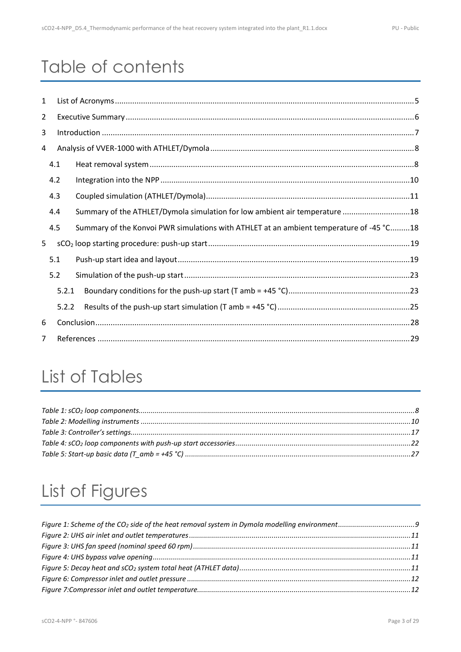# Table of contents

| $\mathbf{1}$   |     |       |                                                                                         |  |
|----------------|-----|-------|-----------------------------------------------------------------------------------------|--|
| $\overline{2}$ |     |       |                                                                                         |  |
| 3              |     |       |                                                                                         |  |
| 4              |     |       |                                                                                         |  |
|                | 4.1 |       |                                                                                         |  |
|                | 4.2 |       |                                                                                         |  |
|                | 4.3 |       |                                                                                         |  |
|                | 4.4 |       | Summary of the ATHLET/Dymola simulation for low ambient air temperature 18              |  |
|                | 4.5 |       | Summary of the Konvoi PWR simulations with ATHLET at an ambient temperature of -45 °C18 |  |
| 5              |     |       |                                                                                         |  |
|                | 5.1 |       |                                                                                         |  |
|                | 5.2 |       |                                                                                         |  |
|                |     | 5.2.1 |                                                                                         |  |
|                |     | 5.2.2 |                                                                                         |  |
| 6              |     |       |                                                                                         |  |
| $\overline{7}$ |     |       |                                                                                         |  |

## List of Tables

# List of Figures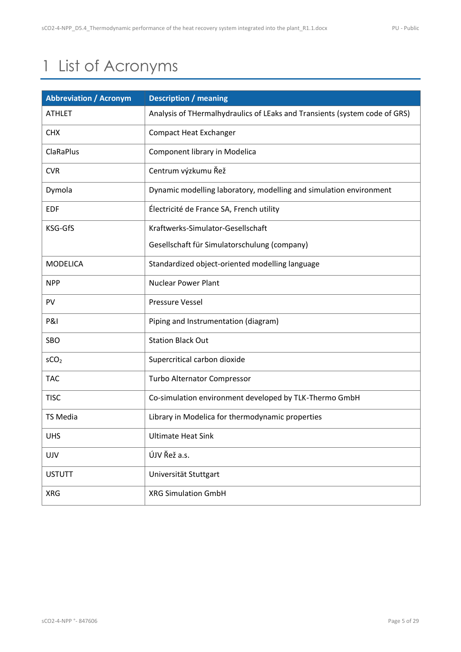# <span id="page-4-0"></span>1 List of Acronyms

| <b>Abbreviation / Acronym</b> | <b>Description / meaning</b>                                               |
|-------------------------------|----------------------------------------------------------------------------|
| <b>ATHLET</b>                 | Analysis of THermalhydraulics of LEaks and Transients (system code of GRS) |
| <b>CHX</b>                    | <b>Compact Heat Exchanger</b>                                              |
| ClaRaPlus                     | Component library in Modelica                                              |
| <b>CVR</b>                    | Centrum výzkumu Řež                                                        |
| Dymola                        | Dynamic modelling laboratory, modelling and simulation environment         |
| <b>EDF</b>                    | Électricité de France SA, French utility                                   |
| KSG-GfS                       | Kraftwerks-Simulator-Gesellschaft                                          |
|                               | Gesellschaft für Simulatorschulung (company)                               |
| <b>MODELICA</b>               | Standardized object-oriented modelling language                            |
| <b>NPP</b>                    | <b>Nuclear Power Plant</b>                                                 |
| PV                            | <b>Pressure Vessel</b>                                                     |
| <b>P&amp;I</b>                | Piping and Instrumentation (diagram)                                       |
| SBO                           | <b>Station Black Out</b>                                                   |
| SCO <sub>2</sub>              | Supercritical carbon dioxide                                               |
| <b>TAC</b>                    | Turbo Alternator Compressor                                                |
| <b>TISC</b>                   | Co-simulation environment developed by TLK-Thermo GmbH                     |
| <b>TS Media</b>               | Library in Modelica for thermodynamic properties                           |
| <b>UHS</b>                    | <b>Ultimate Heat Sink</b>                                                  |
| UJV                           | ÚJV Řež a.s.                                                               |
| <b>USTUTT</b>                 | Universität Stuttgart                                                      |
| <b>XRG</b>                    | <b>XRG Simulation GmbH</b>                                                 |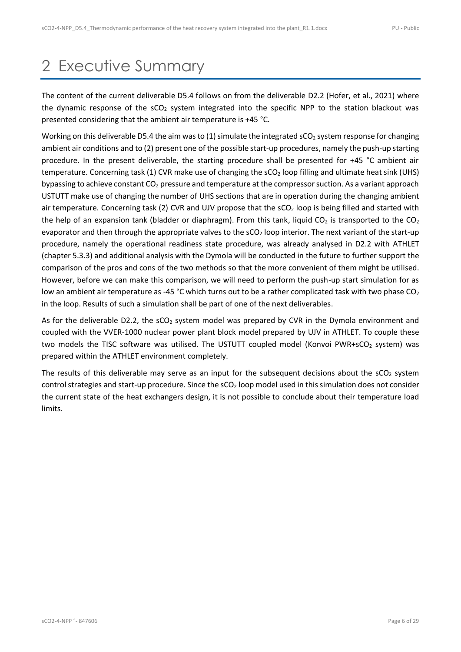## <span id="page-5-0"></span>2 Executive Summary

The content of the current deliverable D5.4 follows on from the deliverable D2.2 (Hofer, et al., 2021) where the dynamic response of the  $\text{SCO}_2$  system integrated into the specific NPP to the station blackout was presented considering that the ambient air temperature is +45 °C.

Working on this deliverable D5.4 the aim was to (1) simulate the integrated  $SCO<sub>2</sub>$  system response for changing ambient air conditions and to (2) present one of the possible start-up procedures, namely the push-up starting procedure. In the present deliverable, the starting procedure shall be presented for +45 °C ambient air temperature. Concerning task (1) CVR make use of changing the  $SCO<sub>2</sub>$  loop filling and ultimate heat sink (UHS) bypassing to achieve constant  $CO<sub>2</sub>$  pressure and temperature at the compressor suction. As a variant approach USTUTT make use of changing the number of UHS sections that are in operation during the changing ambient air temperature. Concerning task (2) CVR and UJV propose that the  $\text{SCO}_2$  loop is being filled and started with the help of an expansion tank (bladder or diaphragm). From this tank, liquid  $CO_2$  is transported to the  $CO_2$ evaporator and then through the appropriate valves to the sCO<sub>2</sub> loop interior. The next variant of the start-up procedure, namely the operational readiness state procedure, was already analysed in D2.2 with ATHLET (chapter 5.3.3) and additional analysis with the Dymola will be conducted in the future to further support the comparison of the pros and cons of the two methods so that the more convenient of them might be utilised. However, before we can make this comparison, we will need to perform the push-up start simulation for as low an ambient air temperature as -45 °C which turns out to be a rather complicated task with two phase CO<sub>2</sub> in the loop. Results of such a simulation shall be part of one of the next deliverables.

As for the deliverable D2.2, the  $SCO<sub>2</sub>$  system model was prepared by CVR in the Dymola environment and coupled with the VVER-1000 nuclear power plant block model prepared by UJV in ATHLET. To couple these two models the TISC software was utilised. The USTUTT coupled model (Konvoi PWR+sCO<sub>2</sub> system) was prepared within the ATHLET environment completely.

The results of this deliverable may serve as an input for the subsequent decisions about the  $\text{sCO}_2$  system control strategies and start-up procedure. Since the sCO<sub>2</sub> loop model used in this simulation does not consider the current state of the heat exchangers design, it is not possible to conclude about their temperature load limits.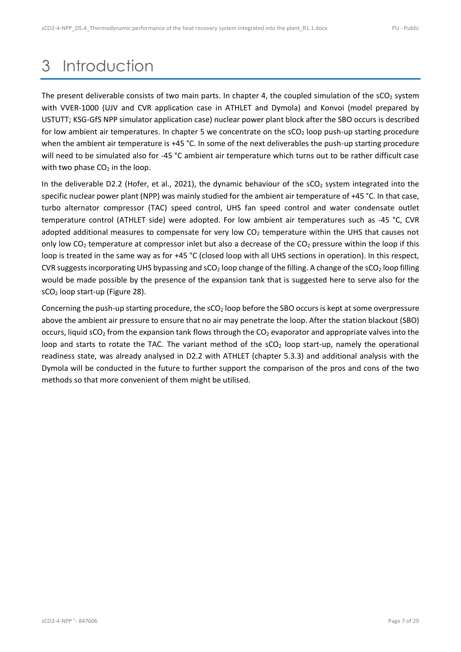## <span id="page-6-0"></span>3 Introduction

The present deliverable consists of two main parts. In chapter [4,](#page-7-0) the coupled simulation of the  $\text{SCO}_2$  system with VVER-1000 (UJV and CVR application case in ATHLET and Dymola) and Konvoi (model prepared by USTUTT; KSG-GfS NPP simulator application case) nuclear power plant block after the SBO occurs is described for low ambient air temperatures. In chapter [5](#page-18-0) we concentrate on the  $SCO<sub>2</sub>$  loop push-up starting procedure when the ambient air temperature is +45 °C. In some of the next deliverables the push-up starting procedure will need to be simulated also for -45 °C ambient air temperature which turns out to be rather difficult case with two phase  $CO<sub>2</sub>$  in the loop.

In the deliverable D2.2 (Hofer, et al., 2021), the dynamic behaviour of the  $SCO<sub>2</sub>$  system integrated into the specific nuclear power plant (NPP) was mainly studied for the ambient air temperature of +45 °C. In that case, turbo alternator compressor (TAC) speed control, UHS fan speed control and water condensate outlet temperature control (ATHLET side) were adopted. For low ambient air temperatures such as -45 °C, CVR adopted additional measures to compensate for very low CO<sub>2</sub> temperature within the UHS that causes not only low  $CO<sub>2</sub>$  temperature at compressor inlet but also a decrease of the  $CO<sub>2</sub>$  pressure within the loop if this loop is treated in the same way as for +45 °C (closed loop with all UHS sections in operation). In this respect, CVR suggests incorporating UHS bypassing and sCO<sub>2</sub> loop change of the filling. A change of the sCO<sub>2</sub> loop filling would be made possible by the presence of the expansion tank that is suggested here to serve also for the sCO<sup>2</sup> loop start-up [\(Figure 28\)](#page-19-0).

Concerning the push-up starting procedure, the  $SCO<sub>2</sub>$  loop before the SBO occurs is kept at some overpressure above the ambient air pressure to ensure that no air may penetrate the loop. After the station blackout (SBO) occurs, liquid  $\mathsf{SCO}_2$  from the expansion tank flows through the  $\mathsf{CO}_2$  evaporator and appropriate valves into the loop and starts to rotate the TAC. The variant method of the  $SCO<sub>2</sub>$  loop start-up, namely the operational readiness state, was already analysed in D2.2 with ATHLET (chapter 5.3.3) and additional analysis with the Dymola will be conducted in the future to further support the comparison of the pros and cons of the two methods so that more convenient of them might be utilised.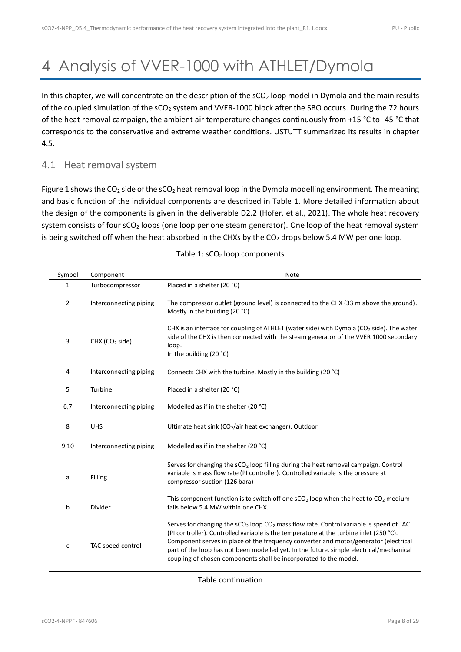# <span id="page-7-0"></span>4 Analysis of VVER-1000 with ATHLET/Dymola

In this chapter, we will concentrate on the description of the sCO<sub>2</sub> loop model in Dymola and the main results of the coupled simulation of the sCO<sub>2</sub> system and VVER-1000 block after the SBO occurs. During the 72 hours of the heat removal campaign, the ambient air temperature changes continuously from +15 °C to -45 °C that corresponds to the conservative and extreme weather conditions. USTUTT summarized its results in chapter [4.5.](#page-17-1)

#### <span id="page-7-1"></span>4.1 Heat removal system

[Figure 1](#page-8-0) shows the CO<sub>2</sub> side of the sCO<sub>2</sub> heat removal loop in the Dymola modelling environment. The meaning and basic function of the individual components are described in [Table 1.](#page-7-2) More detailed information about the design of the components is given in the deliverable D2.2 (Hofer, et al., 2021). The whole heat recovery system consists of four sCO<sub>2</sub> loops (one loop per one steam generator). One loop of the heat removal system is being switched off when the heat absorbed in the CHXs by the  $CO<sub>2</sub>$  drops below 5.4 MW per one loop.

<span id="page-7-2"></span>

| Symbol | Component                  | <b>Note</b>                                                                                                                                                                                                                                                                                                                                                                                                                                  |
|--------|----------------------------|----------------------------------------------------------------------------------------------------------------------------------------------------------------------------------------------------------------------------------------------------------------------------------------------------------------------------------------------------------------------------------------------------------------------------------------------|
| 1      | Turbocompressor            | Placed in a shelter (20 °C)                                                                                                                                                                                                                                                                                                                                                                                                                  |
| 2      | Interconnecting piping     | The compressor outlet (ground level) is connected to the CHX (33 m above the ground).<br>Mostly in the building (20 °C)                                                                                                                                                                                                                                                                                                                      |
| 3      | CHX (CO <sub>2</sub> side) | CHX is an interface for coupling of ATHLET (water side) with Dymola ( $CO2$ side). The water<br>side of the CHX is then connected with the steam generator of the VVER 1000 secondary<br>loop.<br>In the building (20 °C)                                                                                                                                                                                                                    |
| 4      | Interconnecting piping     | Connects CHX with the turbine. Mostly in the building (20 °C)                                                                                                                                                                                                                                                                                                                                                                                |
| 5      | Turbine                    | Placed in a shelter (20 °C)                                                                                                                                                                                                                                                                                                                                                                                                                  |
| 6,7    | Interconnecting piping     | Modelled as if in the shelter (20 °C)                                                                                                                                                                                                                                                                                                                                                                                                        |
| 8      | <b>UHS</b>                 | Ultimate heat sink (CO <sub>2</sub> /air heat exchanger). Outdoor                                                                                                                                                                                                                                                                                                                                                                            |
| 9,10   | Interconnecting piping     | Modelled as if in the shelter (20 °C)                                                                                                                                                                                                                                                                                                                                                                                                        |
| a      | <b>Filling</b>             | Serves for changing the sCO <sub>2</sub> loop filling during the heat removal campaign. Control<br>variable is mass flow rate (PI controller). Controlled variable is the pressure at<br>compressor suction (126 bara)                                                                                                                                                                                                                       |
| b      | Divider                    | This component function is to switch off one $sCO2$ loop when the heat to $CO2$ medium<br>falls below 5.4 MW within one CHX.                                                                                                                                                                                                                                                                                                                 |
| c      | TAC speed control          | Serves for changing the $sCO2$ loop $CO2$ mass flow rate. Control variable is speed of TAC<br>(PI controller). Controlled variable is the temperature at the turbine inlet (250 °C).<br>Component serves in place of the frequency converter and motor/generator (electrical<br>part of the loop has not been modelled yet. In the future, simple electrical/mechanical<br>coupling of chosen components shall be incorporated to the model. |

#### Table  $1:$  sCO<sub>2</sub> loop components

Table continuation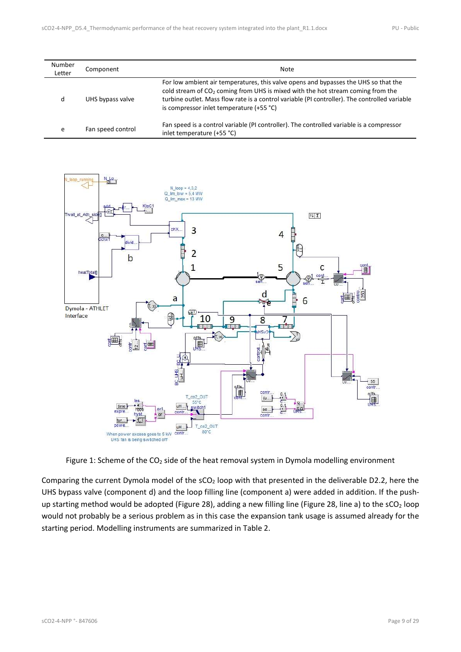| Number<br>Letter | Component         | Note                                                                                                                                                                                                                                                                                                                            |
|------------------|-------------------|---------------------------------------------------------------------------------------------------------------------------------------------------------------------------------------------------------------------------------------------------------------------------------------------------------------------------------|
| d                | UHS bypass valve  | For low ambient air temperatures, this valve opens and bypasses the UHS so that the<br>cold stream of CO <sub>2</sub> coming from UHS is mixed with the hot stream coming from the<br>turbine outlet. Mass flow rate is a control variable (PI controller). The controlled variable<br>is compressor inlet temperature (+55 °C) |
| e                | Fan speed control | Fan speed is a control variable (PI controller). The controlled variable is a compressor<br>inlet temperature (+55 °C)                                                                                                                                                                                                          |



Figure 1: Scheme of the CO<sub>2</sub> side of the heat removal system in Dymola modelling environment

<span id="page-8-0"></span>Comparing the current Dymola model of the  $SCO<sub>2</sub>$  loop with that presented in the deliverable D2.2, here the UHS bypass valve (component d) and the loop filling line (component a) were added in addition. If the push-up starting method would be adopted [\(Figure 28\)](#page-19-0), adding a new filling line [\(Figure 28,](#page-19-0) line a) to the  $sCO<sub>2</sub>$  loop would not probably be a serious problem as in this case the expansion tank usage is assumed already for the starting period. Modelling instruments are summarized in [Table 2.](#page-9-1)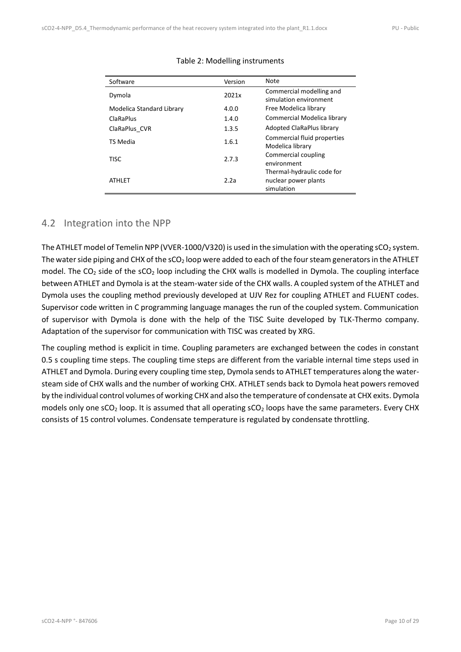| Software                  | Version | Note                                                             |
|---------------------------|---------|------------------------------------------------------------------|
| Dymola                    | 2021x   | Commercial modelling and<br>simulation environment               |
| Modelica Standard Library | 4.0.0   | Free Modelica library                                            |
| ClaRaPlus                 | 1.4.0   | Commercial Modelica library                                      |
| ClaRaPlus CVR             | 1.3.5   | Adopted ClaRaPlus library                                        |
| <b>TS Media</b>           | 1.6.1   | Commercial fluid properties<br>Modelica library                  |
| <b>TISC</b>               | 2.7.3   | Commercial coupling<br>environment                               |
| <b>ATHLET</b>             | 2.2a    | Thermal-hydraulic code for<br>nuclear power plants<br>simulation |

#### Table 2: Modelling instruments

### <span id="page-9-0"></span>4.2 Integration into the NPP

<span id="page-9-1"></span> $\mathbf{r}$ 

The ATHLET model of Temelin NPP (VVER-1000/V320) is used in the simulation with the operating sCO<sub>2</sub> system. The water side piping and CHX of the  $sCO<sub>2</sub>$  loop were added to each of the four steam generators in the ATHLET model. The  $CO_2$  side of the  $SCO_2$  loop including the CHX walls is modelled in Dymola. The coupling interface between ATHLET and Dymola is at the steam-water side of the CHX walls. A coupled system of the ATHLET and Dymola uses the coupling method previously developed at UJV Rez for coupling ATHLET and FLUENT codes. Supervisor code written in C programming language manages the run of the coupled system. Communication of supervisor with Dymola is done with the help of the TISC Suite developed by TLK-Thermo company. Adaptation of the supervisor for communication with TISC was created by XRG.

The coupling method is explicit in time. Coupling parameters are exchanged between the codes in constant 0.5 s coupling time steps. The coupling time steps are different from the variable internal time steps used in ATHLET and Dymola. During every coupling time step, Dymola sends to ATHLET temperatures along the watersteam side of CHX walls and the number of working CHX. ATHLET sends back to Dymola heat powers removed by the individual control volumes of working CHX and also the temperature of condensate at CHX exits. Dymola models only one  $sCO<sub>2</sub>$  loop. It is assumed that all operating  $sCO<sub>2</sub>$  loops have the same parameters. Every CHX consists of 15 control volumes. Condensate temperature is regulated by condensate throttling.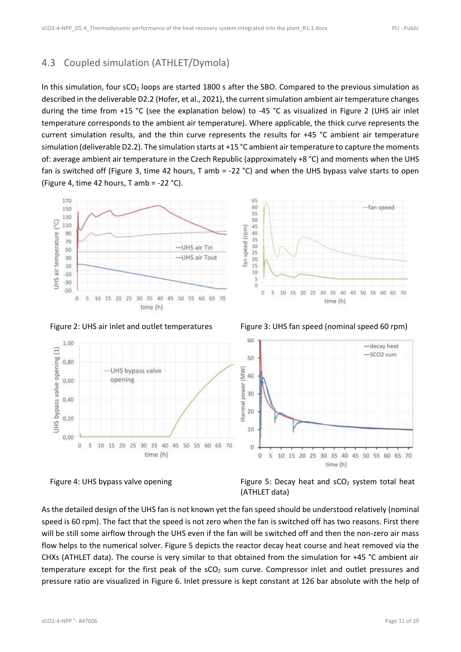### <span id="page-10-0"></span>4.3 Coupled simulation (ATHLET/Dymola)

In this simulation, four sCO<sub>2</sub> loops are started 1800 s after the SBO. Compared to the previous simulation as described in the deliverable D2.2 (Hofer, et al., 2021), the current simulation ambient air temperature changes during the time from +15 °C (see the explanation below) to -45 °C as visualized in [Figure 2](#page-10-1) (UHS air inlet temperature corresponds to the ambient air temperature). Where applicable, the thick curve represents the current simulation results, and the thin curve represents the results for +45 °C ambient air temperature simulation (deliverable D2.2). The simulation starts at +15 °C ambient air temperature to capture the moments of: average ambient air temperature in the Czech Republic (approximately +8 °C) and moments when the UHS fan is switched off [\(Figure 3,](#page-10-2) time 42 hours, T amb = -22 °C) and when the UHS bypass valve starts to open [\(Figure 4,](#page-10-3) time 42 hours, T amb =  $-22$  °C).





<span id="page-10-2"></span>

<span id="page-10-1"></span>Figure 2: UHS air inlet and outlet temperatures Figure 3: UHS fan speed (nominal speed 60 rpm)





<span id="page-10-4"></span><span id="page-10-3"></span>

As the detailed design of the UHS fan is not known yet the fan speed should be understood relatively (nominal speed is 60 rpm). The fact that the speed is not zero when the fan is switched off has two reasons. First there will be still some airflow through the UHS even if the fan will be switched off and then the non-zero air mass flow helps to the numerical solver. [Figure 5](#page-10-4) depicts the reactor decay heat course and heat removed via the CHXs (ATHLET data). The course is very similar to that obtained from the simulation for +45 °C ambient air temperature except for the first peak of the sCO<sub>2</sub> sum curve. Compressor inlet and outlet pressures and pressure ratio are visualized in [Figure 6.](#page-11-0) Inlet pressure is kept constant at 126 bar absolute with the help of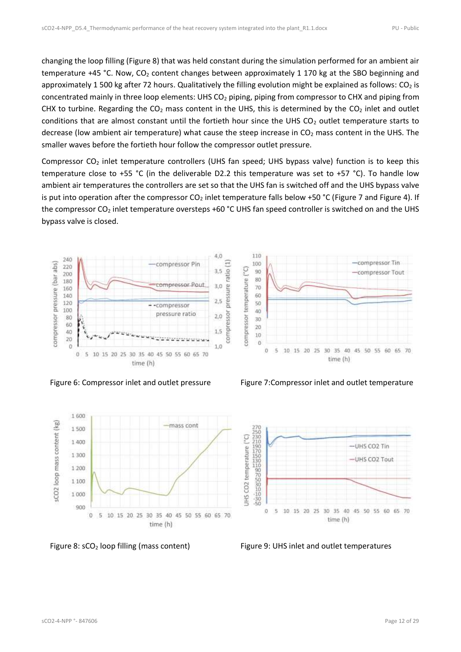changing the loop filling [\(Figure 8\)](#page-11-2) that was held constant during the simulation performed for an ambient air temperature +45 °C. Now,  $CO<sub>2</sub>$  content changes between approximately 1 170 kg at the SBO beginning and approximately 1 500 kg after 72 hours. Qualitatively the filling evolution might be explained as follows:  $CO<sub>2</sub>$  is concentrated mainly in three loop elements: UHS CO<sub>2</sub> piping, piping from compressor to CHX and piping from CHX to turbine. Regarding the  $CO<sub>2</sub>$  mass content in the UHS, this is determined by the  $CO<sub>2</sub>$  inlet and outlet conditions that are almost constant until the fortieth hour since the UHS CO<sub>2</sub> outlet temperature starts to decrease (low ambient air temperature) what cause the steep increase in  $CO<sub>2</sub>$  mass content in the UHS. The smaller waves before the fortieth hour follow the compressor outlet pressure.

Compressor CO<sup>2</sup> inlet temperature controllers (UHS fan speed; UHS bypass valve) function is to keep this temperature close to +55 °C (in the deliverable D2.2 this temperature was set to +57 °C). To handle low ambient air temperatures the controllers are set so that the UHS fan is switched off and the UHS bypass valve is put into operation after the compressor  $CO_2$  inlet temperature falls below +50 °C [\(Figure 7](#page-11-1) and [Figure 4\)](#page-10-3). If the compressor  $CO_2$  inlet temperature oversteps +60 °C UHS fan speed controller is switched on and the UHS bypass valve is closed.





<span id="page-11-0"></span>Figure 6: Compressor inlet and outlet pressure Figure 7: Compressor inlet and outlet temperature



<span id="page-11-2"></span>Figure 8: sCO<sub>2</sub> loop filling (mass content) Figure 9: UHS inlet and outlet temperatures

<span id="page-11-3"></span><span id="page-11-1"></span>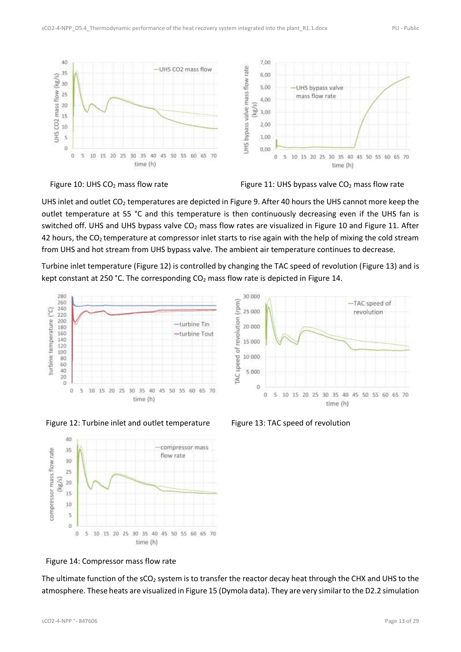



<span id="page-12-0"></span>Figure 10: UHS CO<sub>2</sub> mass flow rate Figure 11: UHS bypass valve CO<sub>2</sub> mass flow rate

UHS inlet and outlet  $CO<sub>2</sub>$  temperatures are depicted in [Figure 9.](#page-11-3) After 40 hours the UHS cannot more keep the outlet temperature at 55 °C and this temperature is then continuously decreasing even if the UHS fan is switched off. UHS and UHS bypass valve  $CO<sub>2</sub>$  mass flow rates are visualized in [Figure 10](#page-12-0) and [Figure 11.](#page-12-1) After 42 hours, the  $CO<sub>2</sub>$  temperature at compressor inlet starts to rise again with the help of mixing the cold stream from UHS and hot stream from UHS bypass valve. The ambient air temperature continues to decrease.

Turbine inlet temperature [\(Figure 12\)](#page-12-2) is controlled by changing the TAC speed of revolution [\(Figure 13\)](#page-12-3) and is kept constant at 250 °C. The corresponding  $CO<sub>2</sub>$  mass flow rate is depicted in [Figure 14.](#page-12-4)

<span id="page-12-1"></span>30,000





-TAC speed of

<span id="page-12-2"></span>



<span id="page-12-3"></span>

<span id="page-12-4"></span>Figure 14: Compressor mass flow rate

The ultimate function of the sCO<sub>2</sub> system is to transfer the reactor decay heat through the CHX and UHS to the atmosphere. These heats are visualized in [Figure 15](#page-13-0) (Dymola data). They are very similar to the D2.2 simulation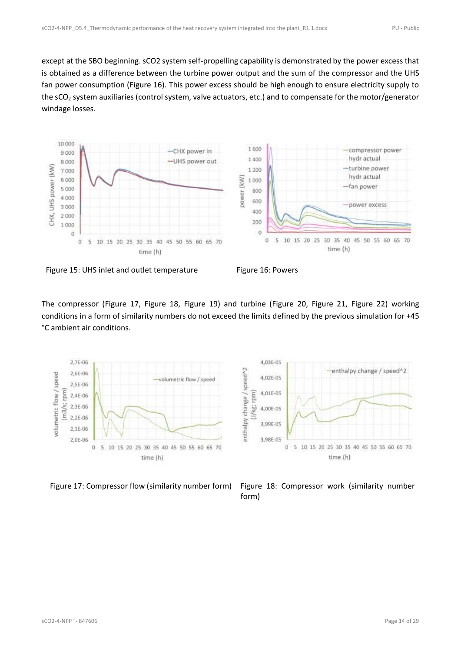except at the SBO beginning. sCO2 system self-propelling capability is demonstrated by the power excess that is obtained as a difference between the turbine power output and the sum of the compressor and the UHS fan power consumption [\(Figure 16\)](#page-13-1). This power excess should be high enough to ensure electricity supply to the sCO<sub>2</sub> system auxiliaries (control system, valve actuators, etc.) and to compensate for the motor/generator windage losses.



<span id="page-13-0"></span>

<span id="page-13-1"></span>

The compressor [\(Figure 17,](#page-13-2) [Figure 18,](#page-13-3) [Figure 19\)](#page-14-0) and turbine [\(Figure 20,](#page-14-1) [Figure 21,](#page-14-2) [Figure 22\)](#page-14-3) working conditions in a form of similarity numbers do not exceed the limits defined by the previous simulation for +45 °C ambient air conditions.



<span id="page-13-3"></span>

<span id="page-13-2"></span>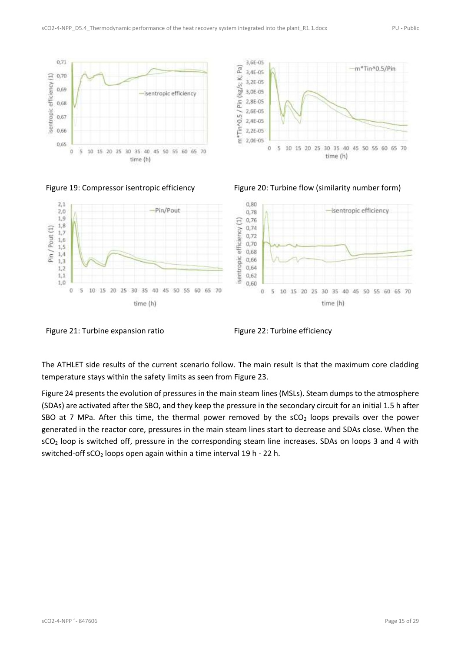



<span id="page-14-1"></span>

<span id="page-14-0"></span>Figure 19: Compressor isentropic efficiency Figure 20: Turbine flow (similarity number form)



<span id="page-14-2"></span>Figure 21: Turbine expansion ratio Figure 22: Turbine efficiency

<span id="page-14-3"></span>

The ATHLET side results of the current scenario follow. The main result is that the maximum core cladding temperature stays within the safety limits as seen from [Figure 23.](#page-15-0)

[Figure 24](#page-15-1) presents the evolution of pressures in the main steam lines (MSLs). Steam dumps to the atmosphere (SDAs) are activated after the SBO, and they keep the pressure in the secondary circuit for an initial 1.5 h after SBO at 7 MPa. After this time, the thermal power removed by the  $SCO<sub>2</sub>$  loops prevails over the power generated in the reactor core, pressures in the main steam lines start to decrease and SDAs close. When the sCO<sub>2</sub> loop is switched off, pressure in the corresponding steam line increases. SDAs on loops 3 and 4 with switched-off  $SCO<sub>2</sub>$  loops open again within a time interval 19 h - 22 h.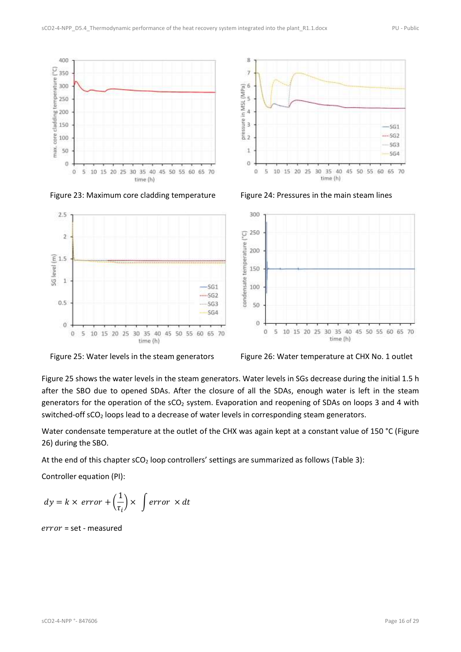



<span id="page-15-0"></span>Figure 23: Maximum core cladding temperature Figure 24: Pressures in the main steam lines

<span id="page-15-1"></span>



<span id="page-15-2"></span>

<span id="page-15-3"></span>

[Figure 25](#page-15-2) shows the water levels in the steam generators. Water levels in SGs decrease during the initial 1.5 h after the SBO due to opened SDAs. After the closure of all the SDAs, enough water is left in the steam generators for the operation of the sCO<sub>2</sub> system. Evaporation and reopening of SDAs on loops 3 and 4 with switched-off sCO<sub>2</sub> loops lead to a decrease of water levels in corresponding steam generators.

Water condensate temperature at the outlet of the CHX was again kept at a constant value of 150 °C (Figure [26\)](#page-15-3) during the SBO.

At the end of this chapter sCO<sub>2</sub> loop controllers' settings are summarized as follows [\(Table 3\)](#page-16-0):

Controller equation (PI):

$$
dy = k \times error + \left(\frac{1}{\tau_i}\right) \times \int error \times dt
$$

 $error = set - measured$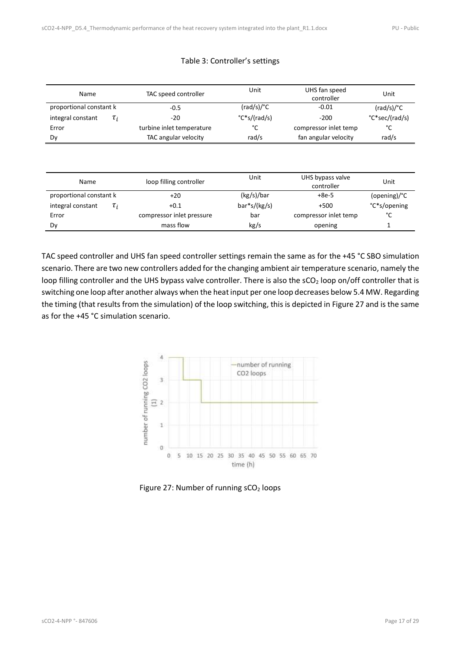<span id="page-16-0"></span>

| Name                          | TAC speed controller      | Unit                | UHS fan speed<br>controller | Unit                |
|-------------------------------|---------------------------|---------------------|-----------------------------|---------------------|
| proportional constant k       | $-0.5$                    | $(rad/s)/^{\circ}C$ | $-0.01$                     | $(rad/s)/^{\circ}C$ |
| integral constant<br>$\tau_i$ | $-20$                     | $C^*s/(rad/s)$      | $-200$                      | °C*sec/(rad/s)      |
| Error                         | turbine inlet temperature | °C                  | compressor inlet temp       | °C                  |
| Dy                            | TAC angular velocity      | rad/s               | fan angular velocity        | rad/s               |
|                               |                           |                     |                             |                     |
|                               |                           |                     |                             |                     |

|  | Table 3: Controller's settings |  |
|--|--------------------------------|--|
|--|--------------------------------|--|

| Name                    |          | loop filling controller   | Unit           | UHS bypass valve<br>controller | Unit         |
|-------------------------|----------|---------------------------|----------------|--------------------------------|--------------|
| proportional constant k |          | $+20$                     | (kg/s)/bar     | $+8e-5$                        | (opening)/°C |
| integral constant       | $\tau_i$ | $+0.1$                    | $bar*s/(kg/s)$ | $+500$                         | °C*s/opening |
| Error                   |          | compressor inlet pressure | bar            | compressor inlet temp          | °C           |
| Dv                      |          | mass flow                 | kg/s           | opening                        |              |

TAC speed controller and UHS fan speed controller settings remain the same as for the +45 °C SBO simulation scenario. There are two new controllers added for the changing ambient air temperature scenario, namely the loop filling controller and the UHS bypass valve controller. There is also the sCO<sub>2</sub> loop on/off controller that is switching one loop after another always when the heat input per one loop decreases below 5.4 MW. Regarding the timing (that results from the simulation) of the loop switching, this is depicted in [Figure 27](#page-16-1) and is the same as for the +45 °C simulation scenario.



<span id="page-16-1"></span>Figure 27: Number of running  $SCO<sub>2</sub>$  loops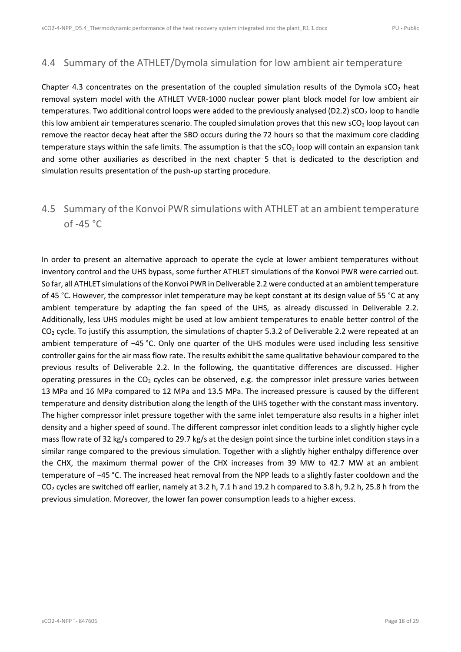### <span id="page-17-0"></span>4.4 Summary of the ATHLET/Dymola simulation for low ambient air temperature

Chapter [4.3](#page-10-0) concentrates on the presentation of the coupled simulation results of the Dymola  $\text{sCO}_2$  heat removal system model with the ATHLET VVER-1000 nuclear power plant block model for low ambient air temperatures. Two additional control loops were added to the previously analysed (D2.2) sCO<sub>2</sub> loop to handle this low ambient air temperatures scenario. The coupled simulation proves that this new  $SO<sub>2</sub>$  loop layout can remove the reactor decay heat after the SBO occurs during the 72 hours so that the maximum core cladding temperature stays within the safe limits. The assumption is that the  $SCO<sub>2</sub>$  loop will contain an expansion tank and some other auxiliaries as described in the next chapter [5](#page-18-0) that is dedicated to the description and simulation results presentation of the push-up starting procedure.

### <span id="page-17-1"></span>4.5 Summary of the Konvoi PWR simulations with ATHLET at an ambient temperature of -45 °C

In order to present an alternative approach to operate the cycle at lower ambient temperatures without inventory control and the UHS bypass, some further ATHLET simulations of the Konvoi PWR were carried out. So far, all ATHLET simulations of the Konvoi PWR in Deliverable 2.2 were conducted at an ambient temperature of 45 °C. However, the compressor inlet temperature may be kept constant at its design value of 55 °C at any ambient temperature by adapting the fan speed of the UHS, as already discussed in Deliverable 2.2. Additionally, less UHS modules might be used at low ambient temperatures to enable better control of the CO<sub>2</sub> cycle. To justify this assumption, the simulations of chapter 5.3.2 of Deliverable 2.2 were repeated at an ambient temperature of −45 °C. Only one quarter of the UHS modules were used including less sensitive controller gains for the air mass flow rate. The results exhibit the same qualitative behaviour compared to the previous results of Deliverable 2.2. In the following, the quantitative differences are discussed. Higher operating pressures in the  $CO<sub>2</sub>$  cycles can be observed, e.g. the compressor inlet pressure varies between 13 MPa and 16 MPa compared to 12 MPa and 13.5 MPa. The increased pressure is caused by the different temperature and density distribution along the length of the UHS together with the constant mass inventory. The higher compressor inlet pressure together with the same inlet temperature also results in a higher inlet density and a higher speed of sound. The different compressor inlet condition leads to a slightly higher cycle mass flow rate of 32 kg/s compared to 29.7 kg/s at the design point since the turbine inlet condition stays in a similar range compared to the previous simulation. Together with a slightly higher enthalpy difference over the CHX, the maximum thermal power of the CHX increases from 39 MW to 42.7 MW at an ambient temperature of −45 °C. The increased heat removal from the NPP leads to a slightly faster cooldown and the  $CO<sub>2</sub>$  cycles are switched off earlier, namely at 3.2 h, 7.1 h and 19.2 h compared to 3.8 h, 9.2 h, 25.8 h from the previous simulation. Moreover, the lower fan power consumption leads to a higher excess.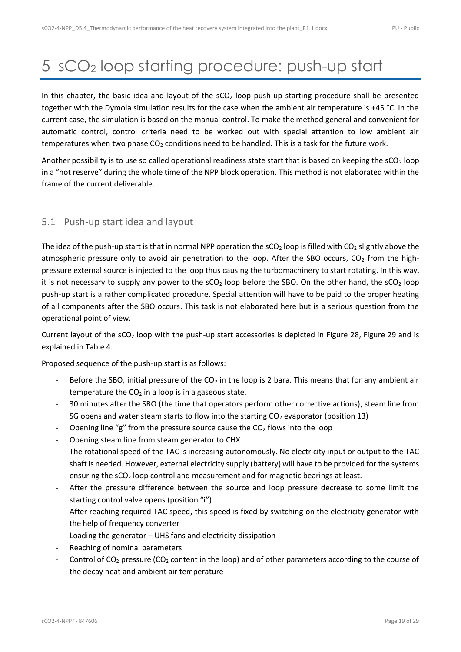## <span id="page-18-0"></span>5 sCO<sup>2</sup> loop starting procedure: push-up start

In this chapter, the basic idea and layout of the  $sCO<sub>2</sub>$  loop push-up starting procedure shall be presented together with the Dymola simulation results for the case when the ambient air temperature is +45 °C. In the current case, the simulation is based on the manual control. To make the method general and convenient for automatic control, control criteria need to be worked out with special attention to low ambient air temperatures when two phase CO<sub>2</sub> conditions need to be handled. This is a task for the future work.

Another possibility is to use so called operational readiness state start that is based on keeping the  $\mathsf{sCO}_2$  loop in a "hot reserve" during the whole time of the NPP block operation. This method is not elaborated within the frame of the current deliverable.

#### <span id="page-18-1"></span>5.1 Push-up start idea and layout

The idea of the push-up start is that in normal NPP operation the  $SCO<sub>2</sub>$  loop is filled with  $CO<sub>2</sub>$  slightly above the atmospheric pressure only to avoid air penetration to the loop. After the SBO occurs,  $CO<sub>2</sub>$  from the highpressure external source is injected to the loop thus causing the turbomachinery to start rotating. In this way, it is not necessary to supply any power to the  $SCO<sub>2</sub>$  loop before the SBO. On the other hand, the  $SCO<sub>2</sub>$  loop push-up start is a rather complicated procedure. Special attention will have to be paid to the proper heating of all components after the SBO occurs. This task is not elaborated here but is a serious question from the operational point of view.

Current layout of the  $\text{CO}_2$  loop with the push-up start accessories is depicted in [Figure 28,](#page-19-0) [Figure 29](#page-20-0) and is explained in [Table 4.](#page-21-0)

Proposed sequence of the push-up start is as follows:

- Before the SBO, initial pressure of the  $CO<sub>2</sub>$  in the loop is 2 bara. This means that for any ambient air temperature the  $CO<sub>2</sub>$  in a loop is in a gaseous state.
- 30 minutes after the SBO (the time that operators perform other corrective actions), steam line from SG opens and water steam starts to flow into the starting  $CO<sub>2</sub>$  evaporator (position 13)
- Opening line "g" from the pressure source cause the  $CO<sub>2</sub>$  flows into the loop
- Opening steam line from steam generator to CHX
- The rotational speed of the TAC is increasing autonomously. No electricity input or output to the TAC shaft is needed. However, external electricity supply (battery) will have to be provided for the systems ensuring the sCO<sub>2</sub> loop control and measurement and for magnetic bearings at least.
- After the pressure difference between the source and loop pressure decrease to some limit the starting control valve opens (position "i")
- After reaching required TAC speed, this speed is fixed by switching on the electricity generator with the help of frequency converter
- Loading the generator UHS fans and electricity dissipation
- Reaching of nominal parameters
- Control of  $CO_2$  pressure ( $CO_2$  content in the loop) and of other parameters according to the course of the decay heat and ambient air temperature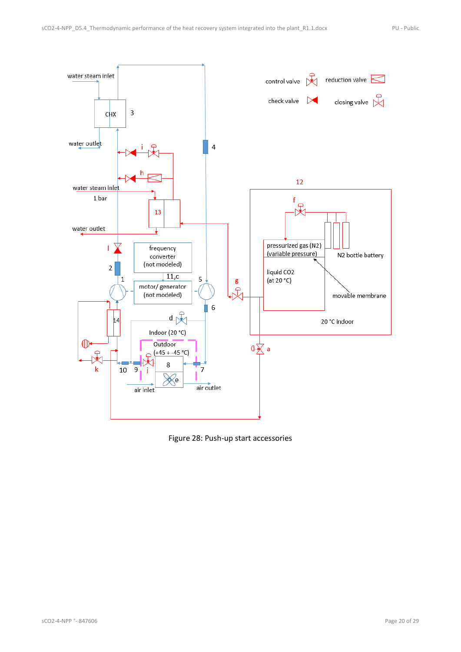

<span id="page-19-0"></span>Figure 28: Push-up start accessories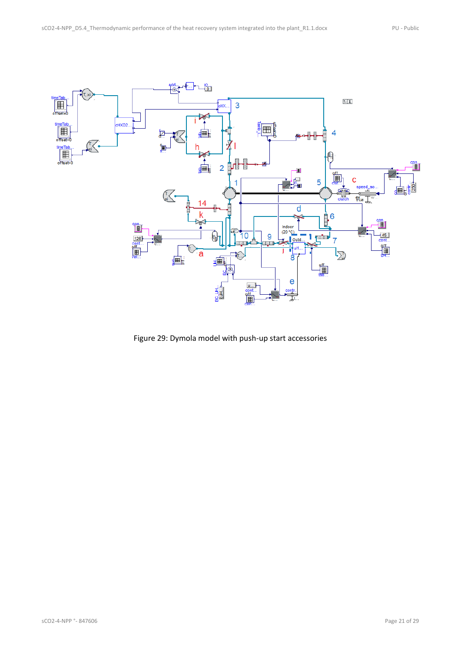

<span id="page-20-0"></span>Figure 29: Dymola model with push-up start accessories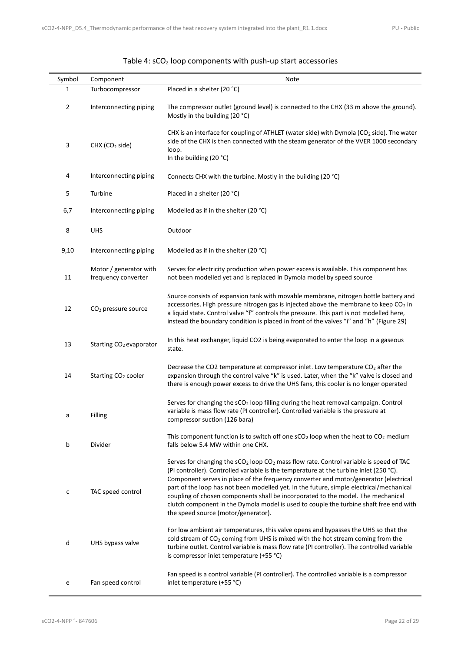<span id="page-21-0"></span>

| Symbol         | Component                                     | Note                                                                                                                                                                                                                                                                                                                                                                                                                                                                                                                                                                                         |
|----------------|-----------------------------------------------|----------------------------------------------------------------------------------------------------------------------------------------------------------------------------------------------------------------------------------------------------------------------------------------------------------------------------------------------------------------------------------------------------------------------------------------------------------------------------------------------------------------------------------------------------------------------------------------------|
| 1              | Turbocompressor                               | Placed in a shelter (20 °C)                                                                                                                                                                                                                                                                                                                                                                                                                                                                                                                                                                  |
| $\overline{2}$ | Interconnecting piping                        | The compressor outlet (ground level) is connected to the CHX (33 m above the ground).<br>Mostly in the building (20 °C)                                                                                                                                                                                                                                                                                                                                                                                                                                                                      |
| 3              | CHX (CO <sub>2</sub> side)                    | CHX is an interface for coupling of ATHLET (water side) with Dymola ( $CO2$ side). The water<br>side of the CHX is then connected with the steam generator of the VVER 1000 secondary<br>loop.<br>In the building (20 °C)                                                                                                                                                                                                                                                                                                                                                                    |
| 4              | Interconnecting piping                        | Connects CHX with the turbine. Mostly in the building (20 °C)                                                                                                                                                                                                                                                                                                                                                                                                                                                                                                                                |
| 5              | Turbine                                       | Placed in a shelter (20 °C)                                                                                                                                                                                                                                                                                                                                                                                                                                                                                                                                                                  |
| 6,7            | Interconnecting piping                        | Modelled as if in the shelter (20 °C)                                                                                                                                                                                                                                                                                                                                                                                                                                                                                                                                                        |
| 8              | <b>UHS</b>                                    | Outdoor                                                                                                                                                                                                                                                                                                                                                                                                                                                                                                                                                                                      |
| 9,10           | Interconnecting piping                        | Modelled as if in the shelter (20 °C)                                                                                                                                                                                                                                                                                                                                                                                                                                                                                                                                                        |
| 11             | Motor / generator with<br>frequency converter | Serves for electricity production when power excess is available. This component has<br>not been modelled yet and is replaced in Dymola model by speed source                                                                                                                                                                                                                                                                                                                                                                                                                                |
| 12             | CO <sub>2</sub> pressure source               | Source consists of expansion tank with movable membrane, nitrogen bottle battery and<br>accessories. High pressure nitrogen gas is injected above the membrane to keep CO <sub>2</sub> in<br>a liquid state. Control valve "f" controls the pressure. This part is not modelled here,<br>instead the boundary condition is placed in front of the valves "i" and "h" (Figure 29)                                                                                                                                                                                                             |
| 13             | Starting CO <sub>2</sub> evaporator           | In this heat exchanger, liquid CO2 is being evaporated to enter the loop in a gaseous<br>state.                                                                                                                                                                                                                                                                                                                                                                                                                                                                                              |
| 14             | Starting CO <sub>2</sub> cooler               | Decrease the CO2 temperature at compressor inlet. Low temperature $CO2$ after the<br>expansion through the control valve "k" is used. Later, when the "k" valve is closed and<br>there is enough power excess to drive the UHS fans, this cooler is no longer operated                                                                                                                                                                                                                                                                                                                       |
| a              | Filling                                       | Serves for changing the sCO <sub>2</sub> loop filling during the heat removal campaign. Control<br>variable is mass flow rate (PI controller). Controlled variable is the pressure at<br>compressor suction (126 bara)                                                                                                                                                                                                                                                                                                                                                                       |
| b              | Divider                                       | This component function is to switch off one $\mathsf{sCO}_2$ loop when the heat to $\mathsf{CO}_2$ medium<br>falls below 5.4 MW within one CHX.                                                                                                                                                                                                                                                                                                                                                                                                                                             |
| с              | TAC speed control                             | Serves for changing the $sCO2$ loop $CO2$ mass flow rate. Control variable is speed of TAC<br>(PI controller). Controlled variable is the temperature at the turbine inlet (250 °C).<br>Component serves in place of the frequency converter and motor/generator (electrical<br>part of the loop has not been modelled yet. In the future, simple electrical/mechanical<br>coupling of chosen components shall be incorporated to the model. The mechanical<br>clutch component in the Dymola model is used to couple the turbine shaft free end with<br>the speed source (motor/generator). |
| d              | UHS bypass valve                              | For low ambient air temperatures, this valve opens and bypasses the UHS so that the<br>cold stream of CO <sub>2</sub> coming from UHS is mixed with the hot stream coming from the<br>turbine outlet. Control variable is mass flow rate (PI controller). The controlled variable<br>is compressor inlet temperature (+55 °C)                                                                                                                                                                                                                                                                |
| e              | Fan speed control                             | Fan speed is a control variable (PI controller). The controlled variable is a compressor<br>inlet temperature (+55 °C)                                                                                                                                                                                                                                                                                                                                                                                                                                                                       |

#### Table 4: sCO<sub>2</sub> loop components with push-up start accessories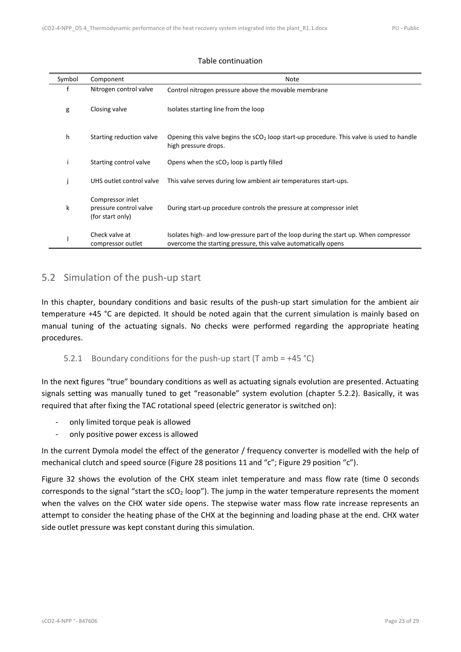| Symbol | Component                                                      | <b>Note</b>                                                                                                                                             |
|--------|----------------------------------------------------------------|---------------------------------------------------------------------------------------------------------------------------------------------------------|
| f      | Nitrogen control valve                                         | Control nitrogen pressure above the movable membrane                                                                                                    |
| g      | Closing valve                                                  | Isolates starting line from the loop                                                                                                                    |
| h      | Starting reduction valve                                       | Opening this valve begins the $SCO2$ loop start-up procedure. This valve is used to handle<br>high pressure drops.                                      |
|        | Starting control valve                                         | Opens when the $sCO2$ loop is partly filled                                                                                                             |
|        | UHS outlet control valve                                       | This valve serves during low ambient air temperatures start-ups.                                                                                        |
| k      | Compressor inlet<br>pressure control valve<br>(for start only) | During start-up procedure controls the pressure at compressor inlet                                                                                     |
|        | Check valve at<br>compressor outlet                            | Isolates high- and low-pressure part of the loop during the start up. When compressor<br>overcome the starting pressure, this valve automatically opens |

#### Table continuation

### <span id="page-22-0"></span>5.2 Simulation of the push-up start

In this chapter, boundary conditions and basic results of the push-up start simulation for the ambient air temperature +45 °C are depicted. It should be noted again that the current simulation is mainly based on manual tuning of the actuating signals. No checks were performed regarding the appropriate heating procedures.

#### <span id="page-22-1"></span>5.2.1 Boundary conditions for the push-up start (T amb =  $+45$  °C)

In the next figures "true" boundary conditions as well as actuating signals evolution are presented. Actuating signals setting was manually tuned to get "reasonable" system evolution (chapter [5.2.2\)](#page-24-0). Basically, it was required that after fixing the TAC rotational speed (electric generator is switched on):

- only limited torque peak is allowed
- only positive power excess is allowed

In the current Dymola model the effect of the generator / frequency converter is modelled with the help of mechanical clutch and speed source [\(Figure 28](#page-19-0) positions 11 and "c"; [Figure 29](#page-20-0) position "c").

[Figure 32](#page-23-2) shows the evolution of the CHX steam inlet temperature and mass flow rate (time 0 seconds corresponds to the signal "start the  $SCO<sub>2</sub> loop"$ ). The jump in the water temperature represents the moment when the valves on the CHX water side opens. The stepwise water mass flow rate increase represents an attempt to consider the heating phase of the CHX at the beginning and loading phase at the end. CHX water side outlet pressure was kept constant during this simulation.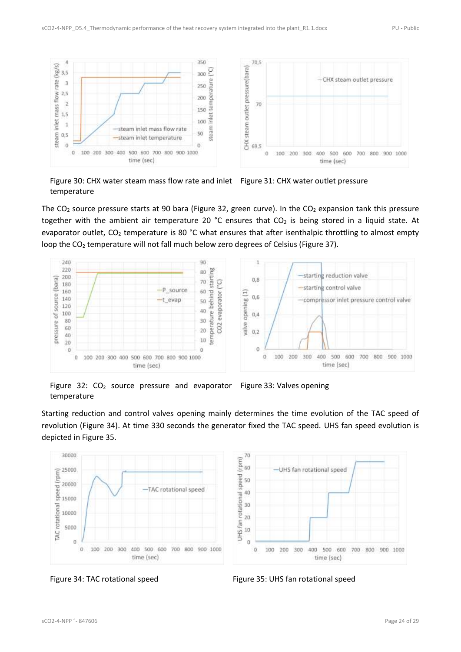

<span id="page-23-1"></span><span id="page-23-0"></span>Figure 30: CHX water steam mass flow rate and inlet Figure 31: CHX water outlet pressure temperature

The  $CO<sub>2</sub>$  source pressure starts at 90 bara [\(Figure 32,](#page-23-2) green curve). In the  $CO<sub>2</sub>$  expansion tank this pressure together with the ambient air temperature 20 °C ensures that  $CO<sub>2</sub>$  is being stored in a liquid state. At evaporator outlet,  $CO<sub>2</sub>$  temperature is 80 °C what ensures that after isenthalpic throttling to almost empty loop the CO<sub>2</sub> temperature will not fall much below zero degrees of Celsius [\(Figure 37\)](#page-24-2).



<span id="page-23-3"></span><span id="page-23-2"></span>Figure 32:  $CO<sub>2</sub>$  source pressure and evaporator Figure 33: Valves opening temperature

Starting reduction and control valves opening mainly determines the time evolution of the TAC speed of revolution [\(Figure 34\)](#page-23-4). At time 330 seconds the generator fixed the TAC speed. UHS fan speed evolution is depicted in [Figure 35.](#page-23-5)



<span id="page-23-5"></span>

<span id="page-23-4"></span>Figure 34: TAC rotational speed Figure 35: UHS fan rotational speed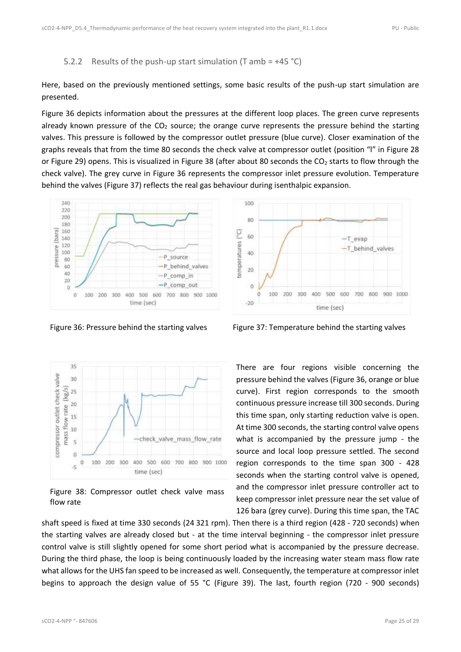#### <span id="page-24-0"></span>5.2.2 Results of the push-up start simulation (T amb =  $+45$  °C)

Here, based on the previously mentioned settings, some basic results of the push-up start simulation are presented.

[Figure 36](#page-24-1) depicts information about the pressures at the different loop places. The green curve represents already known pressure of the  $CO<sub>2</sub>$  source; the orange curve represents the pressure behind the starting valves. This pressure is followed by the compressor outlet pressure (blue curve). Closer examination of the graphs reveals that from the time 80 seconds the check valve at compressor outlet (position "l" in [Figure 28](#page-19-0) or [Figure 29\)](#page-20-0) opens. This is visualized in [Figure 38](#page-24-3) (after about 80 seconds the  $CO<sub>2</sub>$  starts to flow through the check valve). The grey curve in [Figure 36](#page-24-1) represents the compressor inlet pressure evolution. Temperature behind the valves [\(Figure 37\)](#page-24-2) reflects the real gas behaviour during isenthalpic expansion.





<span id="page-24-3"></span>Figure 38: Compressor outlet check valve mass flow rate



<span id="page-24-1"></span>Figure 36: Pressure behind the starting valves Figure 37: Temperature behind the starting valves

<span id="page-24-2"></span>There are four regions visible concerning the pressure behind the valves [\(Figure 36,](#page-24-1) orange or blue curve). First region corresponds to the smooth continuous pressure increase till 300 seconds. During this time span, only starting reduction valve is open. At time 300 seconds, the starting control valve opens what is accompanied by the pressure jump - the source and local loop pressure settled. The second region corresponds to the time span 300 - 428 seconds when the starting control valve is opened, and the compressor inlet pressure controller act to keep compressor inlet pressure near the set value of 126 bara (grey curve). During this time span, the TAC

shaft speed is fixed at time 330 seconds (24 321 rpm). Then there is a third region (428 - 720 seconds) when the starting valves are already closed but - at the time interval beginning - the compressor inlet pressure control valve is still slightly opened for some short period what is accompanied by the pressure decrease. During the third phase, the loop is being continuously loaded by the increasing water steam mass flow rate what allows for the UHS fan speed to be increased as well. Consequently, the temperature at compressor inlet begins to approach the design value of 55 °C [\(Figure 39\)](#page-25-0). The last, fourth region (720 - 900 seconds)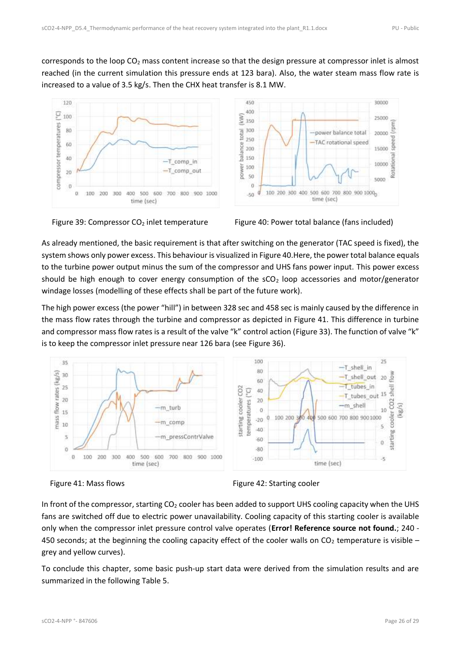corresponds to the loop  $CO<sub>2</sub>$  mass content increase so that the design pressure at compressor inlet is almost reached (in the current simulation this pressure ends at 123 bara). Also, the water steam mass flow rate is increased to a value of 3.5 kg/s. Then the CHX heat transfer is 8.1 MW.



<span id="page-25-1"></span>

<span id="page-25-0"></span>Figure 39: Compressor  $CO<sub>2</sub>$  inlet temperature Figure 40: Power total balance (fans included)

As already mentioned, the basic requirement is that after switching on the generator (TAC speed is fixed), the system shows only power excess. This behaviour is visualized i[n Figure 40.](#page-25-1)Here, the power total balance equals to the turbine power output minus the sum of the compressor and UHS fans power input. This power excess should be high enough to cover energy consumption of the  $SCO<sub>2</sub>$  loop accessories and motor/generator windage losses (modelling of these effects shall be part of the future work).

The high power excess (the power "hill") in between 328 sec and 458 sec is mainly caused by the difference in the mass flow rates through the turbine and compressor as depicted in [Figure 41.](#page-25-2) This difference in turbine and compressor mass flow rates is a result of the valve "k" control action ([Figure 33](#page-23-3)). The function of valve "k" is to keep the compressor inlet pressure near 126 bara (see [Figure 36\)](#page-24-1).



<span id="page-25-3"></span>

<span id="page-25-2"></span>Figure 41: Mass flows Figure 42: Starting cooler

In front of the compressor, starting  $CO<sub>2</sub>$  cooler has been added to support UHS cooling capacity when the UHS fans are switched off due to electric power unavailability. Cooling capacity of this starting cooler is available only when the compressor inlet pressure control valve operates (**Error! Reference source not found.**; 240 - 450 seconds; at the beginning the cooling capacity effect of the cooler walls on  $CO<sub>2</sub>$  temperature is visible – grey and yellow curves).

To conclude this chapter, some basic push-up start data were derived from the simulation results and are summarized in the following [Table 5.](#page-26-0)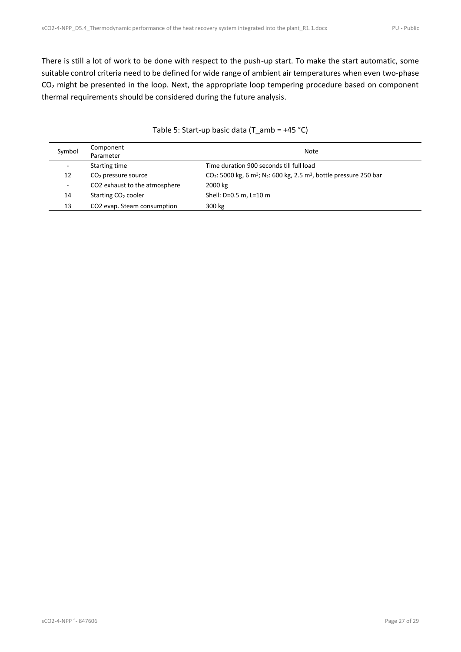There is still a lot of work to be done with respect to the push-up start. To make the start automatic, some suitable control criteria need to be defined for wide range of ambient air temperatures when even two-phase CO<sub>2</sub> might be presented in the loop. Next, the appropriate loop tempering procedure based on component thermal requirements should be considered during the future analysis.

<span id="page-26-0"></span>

| Symbol | Component<br>Parameter                  | Note                                                                                                       |
|--------|-----------------------------------------|------------------------------------------------------------------------------------------------------------|
| ۰      | Starting time                           | Time duration 900 seconds till full load                                                                   |
| 12     | $CO2$ pressure source                   | $CO_2$ : 5000 kg, 6 m <sup>3</sup> ; N <sub>2</sub> : 600 kg, 2.5 m <sup>3</sup> , bottle pressure 250 bar |
| ۰.     | CO2 exhaust to the atmosphere           | 2000 kg                                                                                                    |
| 14     | Starting CO <sub>2</sub> cooler         | Shell: D=0.5 m, L=10 m                                                                                     |
| 13     | CO <sub>2</sub> evap. Steam consumption | 300 kg                                                                                                     |

#### Table 5: Start-up basic data (T\_amb = +45 °C)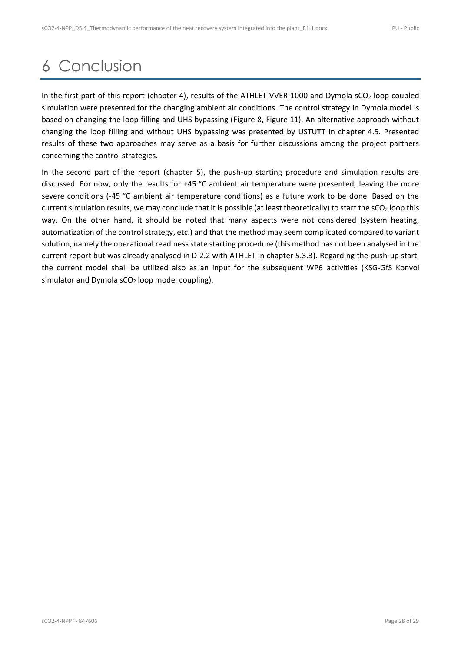## <span id="page-27-0"></span>6 Conclusion

In the first part of this report (chapter [4\)](#page-7-0), results of the ATHLET VVER-1000 and Dymola  $SCO<sub>2</sub>$  loop coupled simulation were presented for the changing ambient air conditions. The control strategy in Dymola model is based on changing the loop filling and UHS bypassing [\(Figure 8,](#page-11-2) [Figure 11\)](#page-12-1). An alternative approach without changing the loop filling and without UHS bypassing was presented by USTUTT in chapter [4.5.](#page-17-1) Presented results of these two approaches may serve as a basis for further discussions among the project partners concerning the control strategies.

In the second part of the report (chapter [5\)](#page-18-0), the push-up starting procedure and simulation results are discussed. For now, only the results for +45 °C ambient air temperature were presented, leaving the more severe conditions (-45 °C ambient air temperature conditions) as a future work to be done. Based on the current simulation results, we may conclude that it is possible (at least theoretically) to start the  $SCO<sub>2</sub>$  loop this way. On the other hand, it should be noted that many aspects were not considered (system heating, automatization of the control strategy, etc.) and that the method may seem complicated compared to variant solution, namely the operational readiness state starting procedure (this method has not been analysed in the current report but was already analysed in D 2.2 with ATHLET in chapter 5.3.3). Regarding the push-up start, the current model shall be utilized also as an input for the subsequent WP6 activities (KSG-GfS Konvoi simulator and Dymola  $sCO<sub>2</sub>$  loop model coupling).